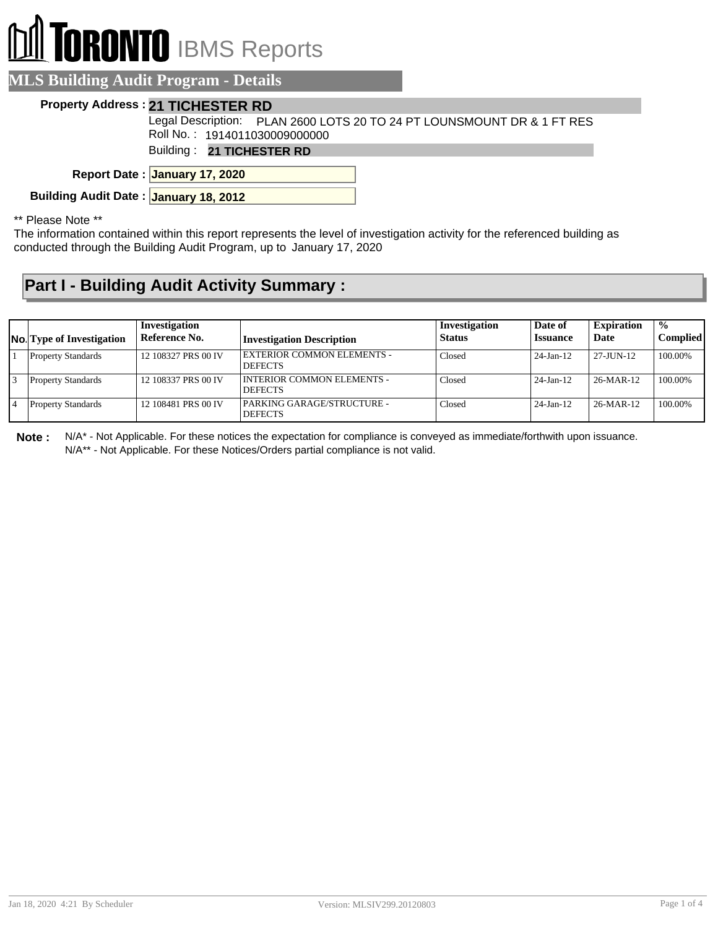# **RONTO** IBMS Reports

#### **MLS Building Audit Program - Details**

#### **Property Address : 21 TICHESTER RD**

Legal Description: PLAN 2600 LOTS 20 TO 24 PT LOUNSMOUNT DR & 1 FT RES Roll No. : 1914011030009000000

Building : **21 TICHESTER RD**

**January 17, 2020 Report Date :**

**Building Audit Date : January 18, 2012**

\*\* Please Note \*\*

The information contained within this report represents the level of investigation activity for the referenced building as conducted through the Building Audit Program, up to January 17, 2020

#### **Part I - Building Audit Activity Summary :**

| <b>No.</b> Type of Investigation | Investigation<br>Reference No. | <b>Investigation Description</b>               | Investigation<br><b>Status</b> | Date of<br><b>Issuance</b> | <b>Expiration</b><br>Date | $\frac{1}{2}$<br><b>Complied</b> |
|----------------------------------|--------------------------------|------------------------------------------------|--------------------------------|----------------------------|---------------------------|----------------------------------|
| <b>Property Standards</b>        | 12 108327 PRS 00 IV            | EXTERIOR COMMON ELEMENTS -<br><b>DEFECTS</b>   | Closed                         | $24$ -Jan-12               | 27-JUN-12                 | 100.00%                          |
| <b>Property Standards</b>        | 12 108337 PRS 00 IV            | I INTERIOR COMMON ELEMENTS -<br><b>DEFECTS</b> | Closed                         | $24$ -Jan-12               | 26-MAR-12                 | 100.00%                          |
| <b>Property Standards</b>        | 12 108481 PRS 00 IV            | PARKING GARAGE/STRUCTURE -<br><b>DEFECTS</b>   | Closed                         | $24$ -Jan-12               | 26-MAR-12                 | 100.00%                          |

**Note :** N/A\* - Not Applicable. For these notices the expectation for compliance is conveyed as immediate/forthwith upon issuance. N/A\*\* - Not Applicable. For these Notices/Orders partial compliance is not valid.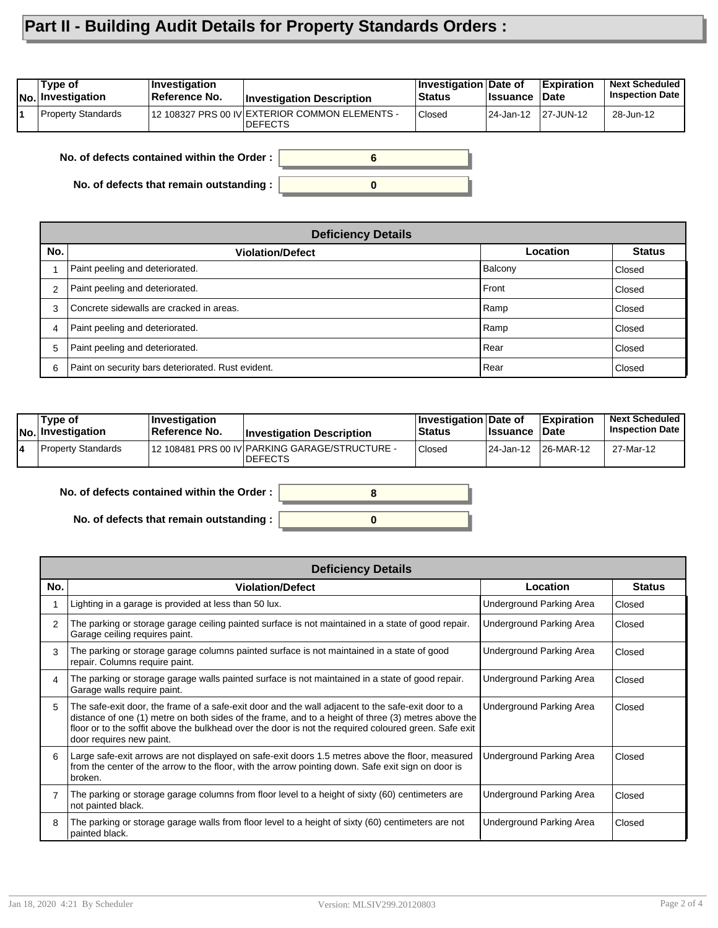### **Part II - Building Audit Details for Property Standards Orders :**

| Type of<br><b>No. Investigation</b> | <i><b>Investigation</b></i><br>Reference No. | <b>Investigation Description</b>                                  | <b>Investigation Date of</b><br><b>Status</b> | <b>∣Issuance</b>    | <b>Expiration</b><br>∣Date | <b>Next Scheduled</b><br><b>Inspection Date</b> |
|-------------------------------------|----------------------------------------------|-------------------------------------------------------------------|-----------------------------------------------|---------------------|----------------------------|-------------------------------------------------|
| <b>Property Standards</b>           |                                              | 12 108327 PRS 00 IV EXTERIOR COMMON ELEMENTS -<br><b>IDEFECTS</b> | <b>Closed</b>                                 | 24-Jan-12 27-JUN-12 |                            | 28-Jun-12                                       |
|                                     |                                              |                                                                   |                                               |                     |                            |                                                 |

**No. of defects contained within the Order :**

**No. of defects that remain outstanding :**

|                | <b>Deficiency Details</b>                          |          |               |  |  |  |  |  |
|----------------|----------------------------------------------------|----------|---------------|--|--|--|--|--|
| No.            | <b>Violation/Defect</b>                            | Location | <b>Status</b> |  |  |  |  |  |
|                | Paint peeling and deteriorated.                    | Balcony  | Closed        |  |  |  |  |  |
| $\overline{2}$ | Paint peeling and deteriorated.                    | Front    | Closed        |  |  |  |  |  |
| 3              | Concrete sidewalls are cracked in areas.           | Ramp     | Closed        |  |  |  |  |  |
| $\overline{4}$ | Paint peeling and deteriorated.                    | Ramp     | Closed        |  |  |  |  |  |
| 5              | Paint peeling and deteriorated.                    | Rear     | Closed        |  |  |  |  |  |
| 6              | Paint on security bars deteriorated. Rust evident. | Rear     | Closed        |  |  |  |  |  |

**0**

**6**

|    | Type of<br>No. Investigation | ∣Investiqation<br>∣Reference No. | <b>Investigation Description</b>                                  | <b>Investigation Date of</b><br><b>Status</b> | <b>Issuance Date</b> | <b>Expiration</b>   | <b>Next Scheduled i</b><br><b>Inspection Date</b> |
|----|------------------------------|----------------------------------|-------------------------------------------------------------------|-----------------------------------------------|----------------------|---------------------|---------------------------------------------------|
| 14 | <b>Property Standards</b>    |                                  | 12 108481 PRS 00 IV PARKING GARAGE/STRUCTURE -<br><b>IDEFECTS</b> | <b>Closed</b>                                 |                      | 24-Jan-12 26-MAR-12 | 27-Mar-12                                         |

**No. of defects contained within the Order :**

**No. of defects that remain outstanding :**

| 8        |  |
|----------|--|
|          |  |
|          |  |
| $\bf{0}$ |  |
|          |  |
|          |  |

|     | <b>Deficiency Details</b>                                                                                                                                                                                                                                                                                                                      |                                 |               |  |  |  |  |
|-----|------------------------------------------------------------------------------------------------------------------------------------------------------------------------------------------------------------------------------------------------------------------------------------------------------------------------------------------------|---------------------------------|---------------|--|--|--|--|
| No. | <b>Violation/Defect</b>                                                                                                                                                                                                                                                                                                                        | Location                        | <b>Status</b> |  |  |  |  |
|     | Lighting in a garage is provided at less than 50 lux.                                                                                                                                                                                                                                                                                          | Underground Parking Area        | Closed        |  |  |  |  |
| 2   | The parking or storage garage ceiling painted surface is not maintained in a state of good repair.<br>Garage ceiling requires paint.                                                                                                                                                                                                           | Underground Parking Area        | Closed        |  |  |  |  |
| 3   | The parking or storage garage columns painted surface is not maintained in a state of good<br>repair. Columns require paint.                                                                                                                                                                                                                   | Underground Parking Area        | Closed        |  |  |  |  |
| 4   | The parking or storage garage walls painted surface is not maintained in a state of good repair.<br>Garage walls require paint.                                                                                                                                                                                                                | Underground Parking Area        | Closed        |  |  |  |  |
| 5.  | The safe-exit door, the frame of a safe-exit door and the wall adjacent to the safe-exit door to a<br>distance of one (1) metre on both sides of the frame, and to a height of three (3) metres above the<br>floor or to the soffit above the bulkhead over the door is not the required coloured green. Safe exit<br>door requires new paint. | Underground Parking Area        | Closed        |  |  |  |  |
| 6   | Large safe-exit arrows are not displayed on safe-exit doors 1.5 metres above the floor, measured<br>from the center of the arrow to the floor, with the arrow pointing down. Safe exit sign on door is<br>broken.                                                                                                                              | Underground Parking Area        | Closed        |  |  |  |  |
|     | The parking or storage garage columns from floor level to a height of sixty (60) centimeters are<br>not painted black.                                                                                                                                                                                                                         | <b>Underground Parking Area</b> | Closed        |  |  |  |  |
| 8   | The parking or storage garage walls from floor level to a height of sixty (60) centimeters are not<br>painted black.                                                                                                                                                                                                                           | Underground Parking Area        | Closed        |  |  |  |  |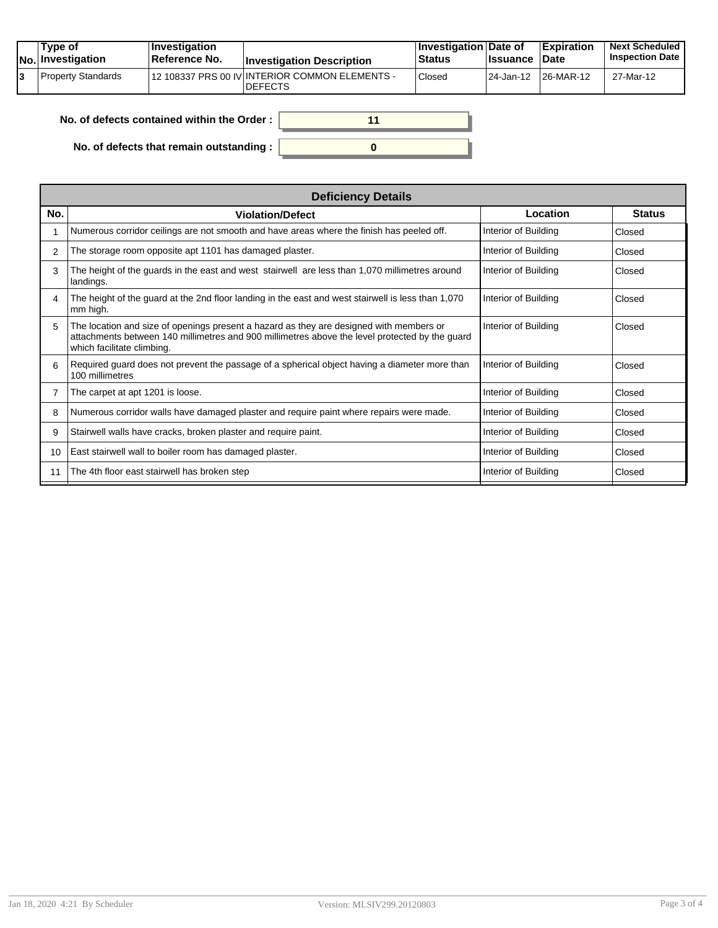| Type of<br>$ No $ Investigation | $\blacksquare$ Investigation<br><b>∣Reference No.</b> | <b>Investigation Description</b>                                 | <b>∣Investigation Date of</b><br>Status | ∣Issuance  | <b>Expiration</b><br><b>∣Date</b> | <b>Next Scheduled</b><br><b>Inspection Date</b> |
|---------------------------------|-------------------------------------------------------|------------------------------------------------------------------|-----------------------------------------|------------|-----------------------------------|-------------------------------------------------|
| Property Standards              |                                                       | 12 108337 PRS 00 IV INTERIOR COMMON ELEMENTS -<br><b>DEFECTS</b> | Closed                                  | 124-Jan-12 | 26-MAR-12                         | 27-Mar-12                                       |

| No. of defects contained within the Order: |  |
|--------------------------------------------|--|
| No. of defects that remain outstanding :   |  |

|     | <b>Deficiency Details</b>                                                                                                                                                                                               |                      |               |  |  |  |  |  |
|-----|-------------------------------------------------------------------------------------------------------------------------------------------------------------------------------------------------------------------------|----------------------|---------------|--|--|--|--|--|
| No. | <b>Violation/Defect</b>                                                                                                                                                                                                 | Location             | <b>Status</b> |  |  |  |  |  |
|     | Numerous corridor ceilings are not smooth and have areas where the finish has peeled off.                                                                                                                               | Interior of Building | Closed        |  |  |  |  |  |
| 2   | The storage room opposite apt 1101 has damaged plaster.                                                                                                                                                                 | Interior of Building | Closed        |  |  |  |  |  |
| 3   | The height of the guards in the east and west stairwell are less than 1,070 millimetres around<br>landings.                                                                                                             | Interior of Building | Closed        |  |  |  |  |  |
| 4   | The height of the guard at the 2nd floor landing in the east and west stairwell is less than 1,070<br>mm high.                                                                                                          | Interior of Building | Closed        |  |  |  |  |  |
| 5   | The location and size of openings present a hazard as they are designed with members or<br>attachments between 140 millimetres and 900 millimetres above the level protected by the guard<br>which facilitate climbing. | Interior of Building | Closed        |  |  |  |  |  |
| 6   | Required guard does not prevent the passage of a spherical object having a diameter more than<br>100 millimetres                                                                                                        | Interior of Building | Closed        |  |  |  |  |  |
|     | The carpet at apt 1201 is loose.                                                                                                                                                                                        | Interior of Building | Closed        |  |  |  |  |  |
| 8   | Numerous corridor walls have damaged plaster and require paint where repairs were made.                                                                                                                                 | Interior of Building | Closed        |  |  |  |  |  |
| 9   | Stairwell walls have cracks, broken plaster and require paint.                                                                                                                                                          | Interior of Building | Closed        |  |  |  |  |  |
| 10  | East stairwell wall to boiler room has damaged plaster.                                                                                                                                                                 | Interior of Building | Closed        |  |  |  |  |  |
| 11  | The 4th floor east stairwell has broken step                                                                                                                                                                            | Interior of Building | Closed        |  |  |  |  |  |